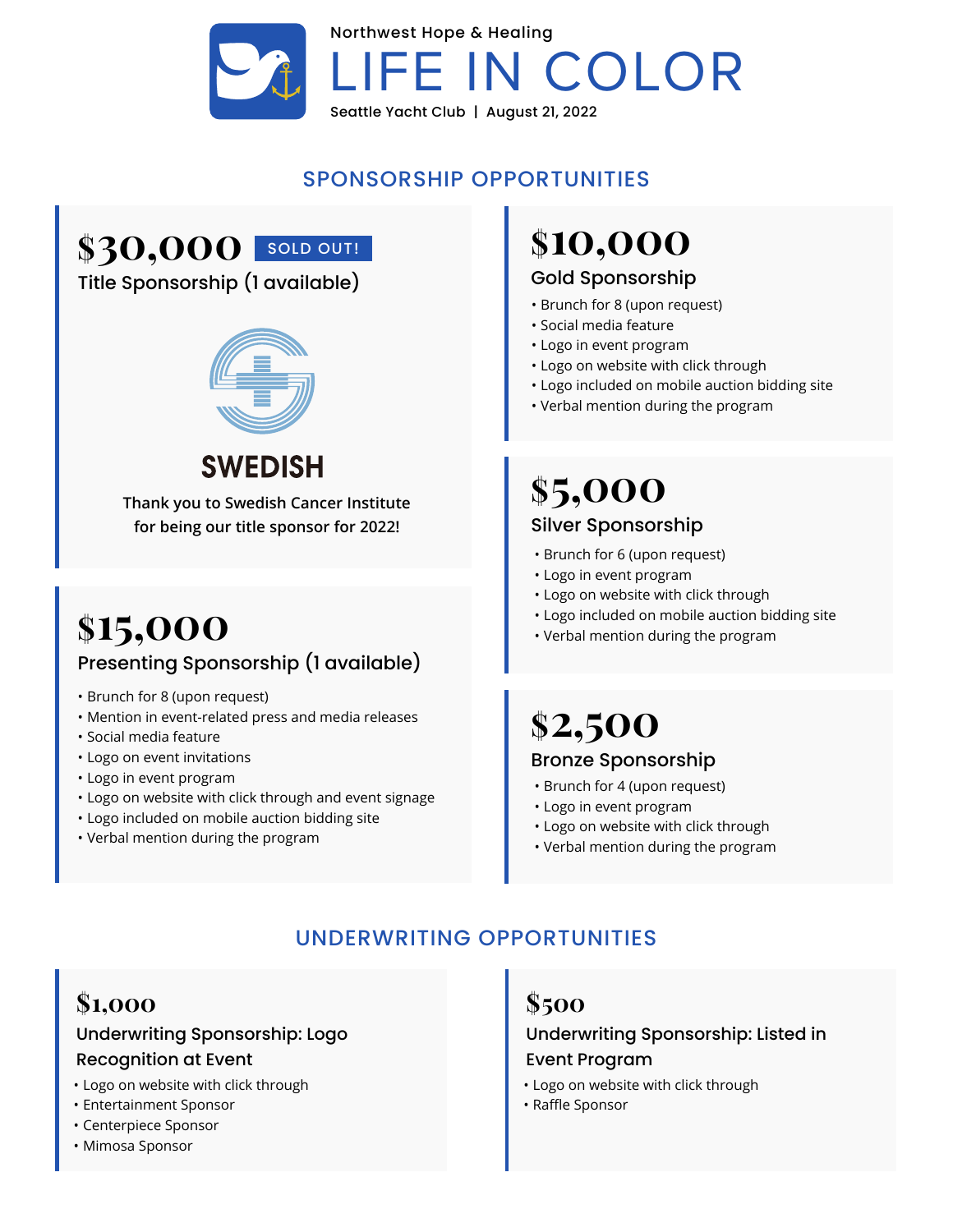

## SPONSORSHIP OPPORTUNITIES

# \$30,000 SOLD OUT!

### Title Sponsorship (1 available)



# **SWEDISH**

**Thank you to Swedish Cancer Institute for being our title sponsor for 2022!**

# **\$15,000** Presenting Sponsorship (1 available)

- Brunch for 8 (upon request)
- Mention in event-related press and media releases
- Social media feature
- Logo on event invitations
- Logo in event program
- Logo on website with click through and event signage
- Logo included on mobile auction bidding site
- Verbal mention during the program

# **\$10,000**

#### Gold Sponsorship

- Brunch for 8 (upon request)
- Social media feature
- Logo in event program
- Logo on website with click through
- Logo included on mobile auction bidding site
- Verbal mention during the program

# **\$5,000** Silver Sponsorship

- Brunch for 6 (upon request)
- Logo in event program
- Logo on website with click through
- Logo included on mobile auction bidding site
- Verbal mention during the program

## **\$2,500** Bronze Sponsorship

- Brunch for 4 (upon request)
- Logo in event program
- Logo on website with click through
- Verbal mention during the program

## UNDERWRITING OPPORTUNITIES

## **\$1,000**

### Underwriting Sponsorship: Logo Recognition at Event

- Logo on website with click through
- Entertainment Sponsor
- Centerpiece Sponsor
- Mimosa Sponsor

## **\$500**

#### Underwriting Sponsorship: Listed in Event Program

- Logo on website with click through
- Raffle Sponsor